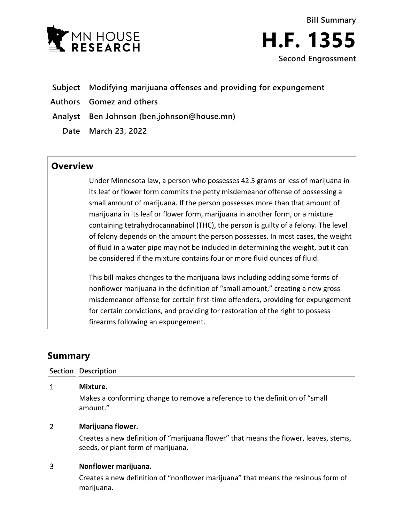



- **Subject Modifying marijuana offenses and providing for expungement**
- **Authors Gomez and others**
- **Analyst Ben Johnson (ben.johnson@house.mn)**
	- **Date March 23, 2022**

## **Overview**

Under Minnesota law, a person who possesses 42.5 grams or less of marijuana in its leaf or flower form commits the petty misdemeanor offense of possessing a small amount of marijuana. If the person possesses more than that amount of marijuana in its leaf or flower form, marijuana in another form, or a mixture containing tetrahydrocannabinol (THC), the person is guilty of a felony. The level of felony depends on the amount the person possesses. In most cases, the weight of fluid in a water pipe may not be included in determining the weight, but it can be considered if the mixture contains four or more fluid ounces of fluid.

This bill makes changes to the marijuana laws including adding some forms of nonflower marijuana in the definition of "small amount," creating a new gross misdemeanor offense for certain first-time offenders, providing for expungement for certain convictions, and providing for restoration of the right to possess firearms following an expungement.

# **Summary**

### **Section Description**

 $\mathbf{1}$ **Mixture.** Makes a conforming change to remove a reference to the definition of "small amount."

#### $\overline{2}$ **Marijuana flower.**

Creates a new definition of "marijuana flower" that means the flower, leaves, stems, seeds, or plant form of marijuana.

#### $\overline{3}$ **Nonflower marijuana.**

Creates a new definition of "nonflower marijuana" that means the resinous form of marijuana.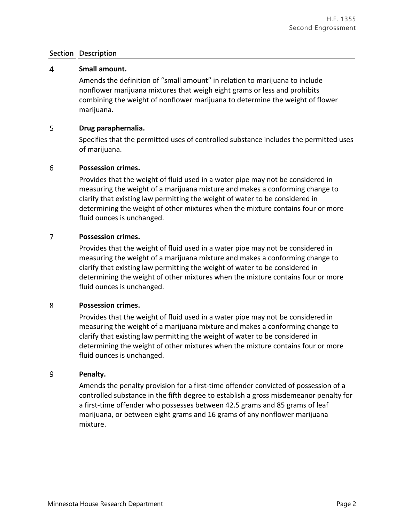### **Section Description**

#### $\overline{4}$ **Small amount.**

Amends the definition of "small amount" in relation to marijuana to include nonflower marijuana mixtures that weigh eight grams or less and prohibits combining the weight of nonflower marijuana to determine the weight of flower marijuana.

#### 5 **Drug paraphernalia.**

Specifies that the permitted uses of controlled substance includes the permitted uses of marijuana.

#### 6 **Possession crimes.**

Provides that the weight of fluid used in a water pipe may not be considered in measuring the weight of a marijuana mixture and makes a conforming change to clarify that existing law permitting the weight of water to be considered in determining the weight of other mixtures when the mixture contains four or more fluid ounces is unchanged.

#### $\overline{7}$ **Possession crimes.**

Provides that the weight of fluid used in a water pipe may not be considered in measuring the weight of a marijuana mixture and makes a conforming change to clarify that existing law permitting the weight of water to be considered in determining the weight of other mixtures when the mixture contains four or more fluid ounces is unchanged.

#### 8 **Possession crimes.**

Provides that the weight of fluid used in a water pipe may not be considered in measuring the weight of a marijuana mixture and makes a conforming change to clarify that existing law permitting the weight of water to be considered in determining the weight of other mixtures when the mixture contains four or more fluid ounces is unchanged.

#### 9 **Penalty.**

Amends the penalty provision for a first-time offender convicted of possession of a controlled substance in the fifth degree to establish a gross misdemeanor penalty for a first-time offender who possesses between 42.5 grams and 85 grams of leaf marijuana, or between eight grams and 16 grams of any nonflower marijuana mixture.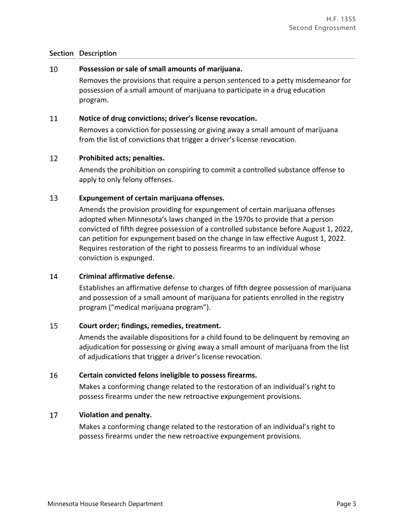### **Section Description**

#### 10 **Possession or sale of small amounts of marijuana.**

Removes the provisions that require a person sentenced to a petty misdemeanor for possession of a small amount of marijuana to participate in a drug education program.

#### 11 **Notice of drug convictions; driver's license revocation.**

Removes a conviction for possessing or giving away a small amount of marijuana from the list of convictions that trigger a driver's license revocation.

#### 12 **Prohibited acts; penalties.**

Amends the prohibition on conspiring to commit a controlled substance offense to apply to only felony offenses.

#### 13 **Expungement of certain marijuana offenses.**

Amends the provision providing for expungement of certain marijuana offenses adopted when Minnesota's laws changed in the 1970s to provide that a person convicted of fifth degree possession of a controlled substance before August 1, 2022, can petition for expungement based on the change in law effective August 1, 2022. Requires restoration of the right to possess firearms to an individual whose conviction is expunged.

#### 14 **Criminal affirmative defense.**

Establishes an affirmative defense to charges of fifth degree possession of marijuana and possession of a small amount of marijuana for patients enrolled in the registry program ("medical marijuana program").

#### 15 **Court order; findings, remedies, treatment.**

Amends the available dispositions for a child found to be delinquent by removing an adjudication for possessing or giving away a small amount of marijuana from the list of adjudications that trigger a driver's license revocation.

#### 16 **Certain convicted felons ineligible to possess firearms.**

Makes a conforming change related to the restoration of an individual's right to possess firearms under the new retroactive expungement provisions.

#### 17 **Violation and penalty.**

Makes a conforming change related to the restoration of an individual's right to possess firearms under the new retroactive expungement provisions.